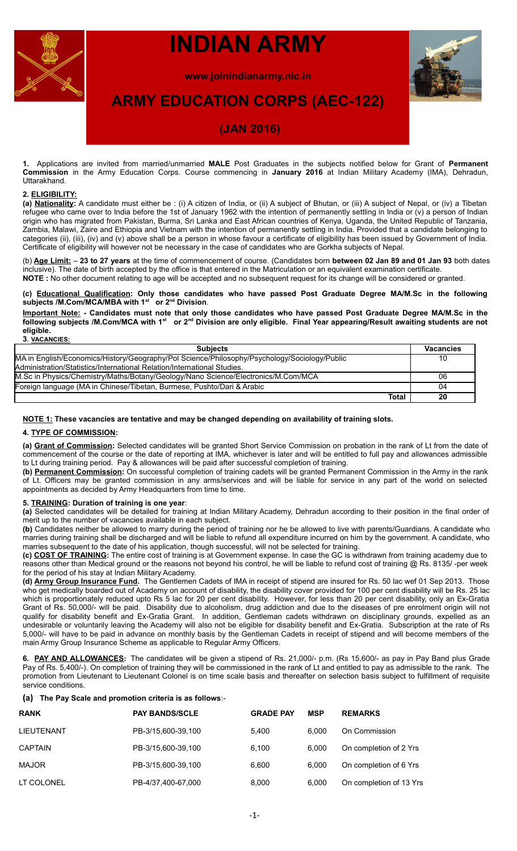

# **INDIAN ARMY**

**www.joinindianarmy.nic.in**



## **ARMY EDUCATION CORPS (AEC-122)**

## **(JAN 2016)**

**1.** Applications are invited from married/unmarried **MALE** Post Graduates in the subjects notified below for Grant of **Permanent Commission** in the Army Education Corps. Course commencing in **January 2016** at Indian Military Academy (IMA), Dehradun, Uttarakhand.

## **2. ELIGIBILITY:**

**(a) Nationality:** A candidate must either be : (i) A citizen of India, or (ii) A subject of Bhutan, or (iii) A subject of Nepal, or (iv) a Tibetan refugee who came over to India before the 1st of January 1962 with the intention of permanently settling in India or (v) a person of Indian origin who has migrated from Pakistan, Burma, Sri Lanka and East African countries of Kenya, Uganda, the United Republic of Tanzania, Zambia, Malawi, Zaire and Ethiopia and Vietnam with the intention of permanently settling in India. Provided that a candidate belonging to categories (ii), (iii), (iv) and (v) above shall be a person in whose favour a certificate of eligibility has been issued by Government of India. Certificate of eligibility will however not be necessary in the case of candidates who are Gorkha subjects of Nepal.

(b) **Age Limit:** – **23 to 27 years** at the time of commencement of course. (Candidates born **between 02 Jan 89 and 01 Jan 93** both dates inclusive). The date of birth accepted by the office is that entered in the Matriculation or an equivalent examination certificate. **NOTE :** No other document relating to age will be accepted and no subsequent request for its change will be considered or granted.

**(c) Educational Qualification: Only those candidates who have passed Post Graduate Degree MA/M.Sc in the following subjects /M.Com/MCA/MBA with 1st or 2nd Division**.

**Important Note: - Candidates must note that only those candidates who have passed Post Graduate Degree MA/M.Sc in the following subjects /M.Com/MCA with 1st or 2nd Division are only eligible. Final Year appearing/Result awaiting students are not eligible. 3**. **VACANCIES:**

| <b>Subjects</b>                                                                              | <b>Vacancies</b> |
|----------------------------------------------------------------------------------------------|------------------|
| MA in English/Economics/History/Geography/Pol Science/Philosophy/Psychology/Sociology/Public | 10               |
| Administration/Statistics/International Relation/International Studies.                      |                  |
| M.Sc in Physics/Chemistry/Maths/Botany/Geology/Nano Science/Electronics/M.Com/MCA            | 06               |
| Foreign language (MA in Chinese/Tibetan, Burmese, Pushto/Dari & Arabic                       | 04               |
| Total                                                                                        | 20               |

### **NOTE 1: These vacancies are tentative and may be changed depending on availability of training slots.**

## **4. TYPE OF COMMISSION:**

**(a) Grant of Commission:** Selected candidates will be granted Short Service Commission on probation in the rank of Lt from the date of commencement of the course or the date of reporting at IMA, whichever is later and will be entitled to full pay and allowances admissible to Lt during training period. Pay & allowances will be paid after successful completion of training.

**(b) Permanent Commission:** On successful completion of training cadets will be granted Permanent Commission in the Army in the rank of Lt. Officers may be granted commission in any arms/services and will be liable for service in any part of the world on selected appointments as decided by Army Headquarters from time to time.

## **5. TRAINING: Duration of training is one year**:

**(a)** Selected candidates will be detailed for training at Indian Military Academy, Dehradun according to their position in the final order of merit up to the number of vacancies available in each subject.

**(b)** Candidates neither be allowed to marry during the period of training nor he be allowed to live with parents/Guardians. A candidate who marries during training shall be discharged and will be liable to refund all expenditure incurred on him by the government. A candidate, who marries subsequent to the date of his application, though successful, will not be selected for training.

**(c) COST OF TRAINING:** The entire cost of training is at Government expense. In case the GC is withdrawn from training academy due to reasons other than Medical ground or the reasons not beyond his control, he will be liable to refund cost of training @ Rs. 8135/ -per week for the period of his stay at Indian Military Academy.

**(d) Army Group Insurance Fund.** The Gentlemen Cadets of IMA in receipt of stipend are insured for Rs. 50 lac wef 01 Sep 2013. Those who get medically boarded out of Academy on account of disability, the disability cover provided for 100 per cent disability will be Rs. 25 lac which is proportionately reduced upto Rs 5 lac for 20 per cent disability. However, for less than 20 per cent disability, only an Ex-Gratia Grant of Rs. 50,000/- will be paid. Disability due to alcoholism, drug addiction and due to the diseases of pre enrolment origin will not qualify for disability benefit and Ex-Gratia Grant. In addition, Gentleman cadets withdrawn on disciplinary grounds, expelled as an undesirable or voluntarily leaving the Academy will also not be eligible for disability benefit and Ex-Gratia. Subscription at the rate of Rs 5,000/- will have to be paid in advance on monthly basis by the Gentleman Cadets in receipt of stipend and will become members of the main Army Group Insurance Scheme as applicable to Regular Army Officers.

**6. PAY AND ALLOWANCES:** The candidates will be given a stipend of Rs. 21,000/- p.m. (Rs 15,600/- as pay in Pay Band plus Grade Pay of Rs. 5,400/-). On completion of training they will be commissioned in the rank of Lt and entitled to pay as admissible to the rank. The promotion from Lieutenant to Lieutenant Colonel is on time scale basis and thereafter on selection basis subject to fulfillment of requisite service conditions.

## **(a) The Pay Scale and promotion criteria is as follows**:-

| <b>RANK</b>    | <b>PAY BANDS/SCLE</b> | <b>GRADE PAY</b> | <b>MSP</b> | <b>REMARKS</b>          |
|----------------|-----------------------|------------------|------------|-------------------------|
| LIEUTENANT     | PB-3/15,600-39,100    | 5.400            | 6.000      | On Commission           |
| <b>CAPTAIN</b> | PB-3/15,600-39,100    | 6.100            | 6.000      | On completion of 2 Yrs  |
| <b>MAJOR</b>   | PB-3/15,600-39,100    | 6.600            | 6.000      | On completion of 6 Yrs  |
| LT COLONEL     | PB-4/37,400-67,000    | 8,000            | 6,000      | On completion of 13 Yrs |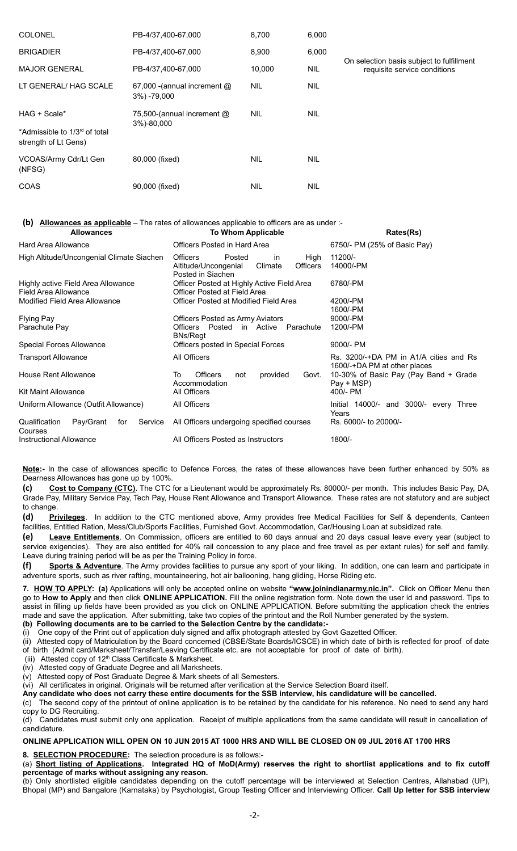| <b>COLONEL</b>                                                    | PB-4/37,400-67,000                         | 8,700      | 6,000      |                                                                           |
|-------------------------------------------------------------------|--------------------------------------------|------------|------------|---------------------------------------------------------------------------|
| <b>BRIGADIER</b>                                                  | PB-4/37,400-67,000                         | 8,900      | 6,000      |                                                                           |
| <b>MAJOR GENERAL</b>                                              | PB-4/37,400-67,000                         | 10,000     | <b>NIL</b> | On selection basis subject to fulfillment<br>requisite service conditions |
| LT GENERAL/ HAG SCALE                                             | 67,000 -(annual increment @<br>3%) -79,000 | <b>NIL</b> | <b>NIL</b> |                                                                           |
| HAG + Scale*                                                      | 75,500-(annual increment @<br>3%)-80,000   | <b>NIL</b> | <b>NIL</b> |                                                                           |
| *Admissible to 1/3 <sup>rd</sup> of total<br>strength of Lt Gens) |                                            |            |            |                                                                           |
| VCOAS/Army Cdr/Lt Gen<br>(NFSG)                                   | 80,000 (fixed)                             | <b>NIL</b> | <b>NIL</b> |                                                                           |
| COAS                                                              | 90,000 (fixed)                             | <b>NIL</b> | <b>NIL</b> |                                                                           |

## **(b) Allowances as applicable** – The rates of allowances applicable to officers are as under :-

| <b>Allowances</b>                                          | To Whom Applicable                                                                                                 | Rates(Rs)                                                              |
|------------------------------------------------------------|--------------------------------------------------------------------------------------------------------------------|------------------------------------------------------------------------|
| <b>Hard Area Allowance</b>                                 | Officers Posted in Hard Area                                                                                       | 6750/- PM (25% of Basic Pay)                                           |
| High Altitude/Uncongenial Climate Siachen                  | <b>Officers</b><br>Posted<br>in<br>High<br>Climate<br><b>Officers</b><br>Altitude/Uncongenial<br>Posted in Siachen | 11200/-<br>14000/-PM                                                   |
| Highly active Field Area Allowance<br>Field Area Allowance | Officer Posted at Highly Active Field Area<br>Officer Posted at Field Area                                         | 6780/-PM                                                               |
| Modified Field Area Allowance                              | Officer Posted at Modified Field Area                                                                              | 4200/-PM<br>1600/-PM                                                   |
| <b>Flying Pay</b><br>Parachute Pay                         | Officers Posted as Army Aviators<br>Posted in Active<br>Parachute<br><b>Officers</b><br><b>BNs/Regt</b>            | 9000/-PM<br>1200/-PM                                                   |
| Special Forces Allowance                                   | Officers posted in Special Forces                                                                                  | 9000/- PM                                                              |
| <b>Transport Allowance</b>                                 | All Officers                                                                                                       | Rs. 3200/-+DA PM in A1/A cities and Rs<br>1600/-+DA PM at other places |
| <b>House Rent Allowance</b>                                | <b>Officers</b><br>To<br>provided<br>not<br>Govt.<br>Accommodation                                                 | 10-30% of Basic Pay (Pay Band + Grade<br>Pay + MSP)                    |
| <b>Kit Maint Allowance</b>                                 | All Officers                                                                                                       | 400/- PM                                                               |
| Uniform Allowance (Outfit Allowance)                       | All Officers                                                                                                       | Initial 14000/- and 3000/- every Three<br>Years                        |
| Pay/Grant<br>Qualification<br>for<br>Service<br>Courses    | All Officers undergoing specified courses                                                                          | Rs. 6000/- to 20000/-                                                  |
| Instructional Allowance                                    | All Officers Posted as Instructors                                                                                 | 1800/-                                                                 |

**Note:-** In the case of allowances specific to Defence Forces, the rates of these allowances have been further enhanced by 50% as Dearness Allowances has gone up by 100%.

**(c) Cost to Company (CTC)**. The CTC for a Lieutenant would be approximately Rs. 80000/- per month. This includes Basic Pay, DA, Grade Pay, Military Service Pay, Tech Pay, House Rent Allowance and Transport Allowance. These rates are not statutory and are subject to change.

**(d) Privileges**. In addition to the CTC mentioned above, Army provides free Medical Facilities for Self & dependents, Canteen facilities, Entitled Ration, Mess/Club/Sports Facilities, Furnished Govt. Accommodation, Car/Housing Loan at subsidized rate.

**(e) Leave Entitlements**. On Commission, officers are entitled to 60 days annual and 20 days casual leave every year (subject to service exigencies). They are also entitled for 40% rail concession to any place and free travel as per extant rules) for self and family. Leave during training period will be as per the Training Policy in force.

**(f) Sports & Adventure**. The Army provides facilities to pursue any sport of your liking. In addition, one can learn and participate in adventure sports, such as river rafting, mountaineering, hot air ballooning, hang gliding, Horse Riding etc.

**7. HOW TO APPLY: (a)** Applications will only be accepted online on website **"www.joinindianarmy.nic.in".** Click on Officer Menu then go to **How to Apply** and then click **ONLINE APPLICATION.** Fill the online registration form. Note down the user id and password. Tips to assist in filling up fields have been provided as you click on ONLINE APPLICATION. Before submitting the application check the entries made and save the application. After submitting, take two copies of the printout and the Roll Number generated by the system. **(b) Following documents are to be carried to the Selection Centre by the candidate:-**

(i)One copy of the Print out of application duly signed and affix photograph attested by Govt Gazetted Officer.

(ii) Attested copy of Matriculation by the Board concerned (CBSE/State Boards/ICSCE) in which date of birth is reflected for proof of date of birth (Admit card/Marksheet/Transfer/Leaving Certificate etc. are not acceptable for proof of date of birth).

(iii) Attested copy of  $12<sup>th</sup>$  Class Certificate & Marksheet.

(iv) Attested copy of Graduate Degree and all Marksheets.

(v) Attested copy of Post Graduate Degree & Mark sheets of all Semesters.

(vi) All certificates in original. Originals will be returned after verification at the Service Selection Board itself.

**Any candidate who does not carry these entire documents for the SSB interview, his candidature will be cancelled.**

(c) The second copy of the printout of online application is to be retained by the candidate for his reference. No need to send any hard copy to DG Recruiting.

(d) Candidates must submit only one application. Receipt of multiple applications from the same candidate will result in cancellation of candidature.

## **ONLINE APPLICATION WILL OPEN ON 10 JUN 2015 AT 1000 HRS AND WILL BE CLOSED ON 09 JUL 2016 AT 1700 HRS**

**8. SELECTION PROCEDURE:** The selection procedure is as follows:-

(a) **Short listing of Applications. Integrated HQ of MoD(Army) reserves the right to shortlist applications and to fix cutoff percentage of marks without assigning any reason.**

(b) Only shortlisted eligible candidates depending on the cutoff percentage will be interviewed at Selection Centres, Allahabad (UP), Bhopal (MP) and Bangalore (Karnataka) by Psychologist, Group Testing Officer and Interviewing Officer. **Call Up letter for SSB interview**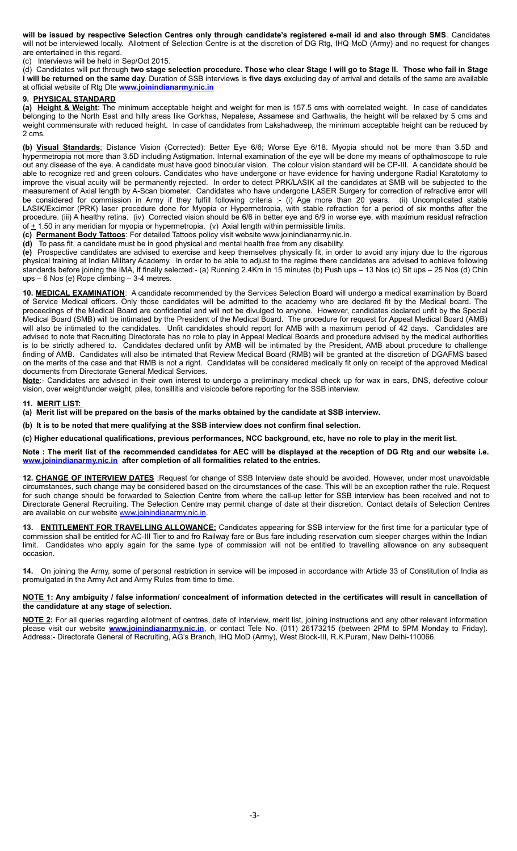**will be issued by respective Selection Centres only through candidate's registered e-mail id and also through SMS**. Candidates will not be interviewed locally. Allotment of Selection Centre is at the discretion of DG Rtg, IHQ MoD (Army) and no request for changes are entertained in this regard.

(c) Interviews will be held in Sep/Oct 2015.

(d) Candidates will put through **two stage selection procedure. Those who clear Stage I will go to Stage II. Those who fail in Stage I will be returned on the same day**. Duration of SSB interviews is **five days** excluding day of arrival and details of the same are available at official website of Rtg Dte **[www.joinindianarmy.nic.in](http://www.joinindianarmy.nic.in/)**

## **9. PHYSICAL STANDARD**

**(a) Height & Weight**: The minimum acceptable height and weight for men is 157.5 cms with correlated weight. In case of candidates belonging to the North East and hilly areas like Gorkhas, Nepalese, Assamese and Garhwalis, the height will be relaxed by 5 cms and weight commensurate with reduced height. In case of candidates from Lakshadweep, the minimum acceptable height can be reduced by 2 cms.

**(b) Visual Standards**; Distance Vision (Corrected): Better Eye 6/6; Worse Eye 6/18. Myopia should not be more than 3.5D and hypermetropia not more than 3.5D including Astigmation. Internal examination of the eye will be done my means of opthalmoscope to rule out any disease of the eye. A candidate must have good binocular vision. The colour vision standard will be CP-III. A candidate should be able to recognize red and green colours. Candidates who have undergone or have evidence for having undergone Radial Karatotomy to improve the visual acuity will be permanently rejected. In order to detect PRK/LASIK all the candidates at SMB will be subjected to the measurement of Axial length by A-Scan biometer. Candidates who have undergone LASER Surgery for correction of refractive error will be considered for commission in Army if they fulfill following criteria :- (i) Age more than 20 years. (ii) Uncomplicated stable LASIK/Excimer (PRK) laser procedure done for Myopia or Hypermetropia, with stable refraction for a period of six months after the procedure. (iii) A healthy retina. (iv) Corrected vision should be 6/6 in better eye and 6/9 in worse eye, with maximum residual refraction of  $\pm$  1.50 in any meridian for myopia or hypermetropia. (v) Axial length within permissible limits.

**(c) Permanent Body Tattoos**: For detailed Tattoos policy visit website www.joinindianarmy.nic.in.

**(d)** To pass fit, a candidate must be in good physical and mental health free from any disability.

**(e)** Prospective candidates are advised to exercise and keep themselves physically fit, in order to avoid any injury due to the rigorous physical training at Indian Military Academy. In order to be able to adjust to the regime there candidates are advised to achieve following standards before joining the IMA, if finally selected:- (a) Running 2.4Km in 15 minutes (b) Push ups – 13 Nos (c) Sit ups – 25 Nos (d) Chin ups – 6 Nos (e) Rope climbing – 3-4 metres.

**10. MEDICAL EXAMINATION**: A candidate recommended by the Services Selection Board will undergo a medical examination by Board of Service Medical officers. Only those candidates will be admitted to the academy who are declared fit by the Medical board. The proceedings of the Medical Board are confidential and will not be divulged to anyone. However, candidates declared unfit by the Special Medical Board (SMB) will be intimated by the President of the Medical Board. The procedure for request for Appeal Medical Board (AMB) will also be intimated to the candidates. Unfit candidates should report for AMB with a maximum period of 42 days. Candidates are advised to note that Recruiting Directorate has no role to play in Appeal Medical Boards and procedure advised by the medical authorities is to be strictly adhered to. Candidates declared unfit by AMB will be intimated by the President, AMB about procedure to challenge finding of AMB. Candidates will also be intimated that Review Medical Board (RMB) will be granted at the discretion of DGAFMS based on the merits of the case and that RMB is not a right. Candidates will be considered medically fit only on receipt of the approved Medical documents from Directorate General Medical Services.

**Note**:- Candidates are advised in their own interest to undergo a preliminary medical check up for wax in ears, DNS, defective colour vision, over weight/under weight, piles, tonsillitis and visicocle before reporting for the SSB interview.

### **11. MERIT LIST:**

**(a) Merit list will be prepared on the basis of the marks obtained by the candidate at SSB interview.**

**(b) It is to be noted that mere qualifying at the SSB interview does not confirm final selection.**

**(c) Higher educational qualifications, previous performances, NCC background, etc, have no role to play in the merit list.**

**Note : The merit list of the recommended candidates for AEC will be displayed at the reception of DG Rtg and our website i.e. [www.joinindianarmy.nic.in](http://www.joinindianarmy.nic.in/) after completion of all formalities related to the entries.**

**12. CHANGE OF INTERVIEW DATES** :Request for change of SSB Interview date should be avoided. However, under most unavoidable circumstances, such change may be considered based on the circumstances of the case. This will be an exception rather the rule. Request for such change should be forwarded to Selection Centre from where the call-up letter for SSB interview has been received and not to Directorate General Recruiting. The Selection Centre may permit change of date at their discretion. Contact details of Selection Centres are available on our website [www.joinindianarmy.nic.in.](http://www.joinindianarmy.nic.in/)

**ENTITLEMENT FOR TRAVELLING ALLOWANCE:** Candidates appearing for SSB interview for the first time for a particular type of commission shall be entitled for AC-III Tier to and fro Railway fare or Bus fare including reservation cum sleeper charges within the Indian limit. Candidates who apply again for the same type of commission will not be entitled to travelling allowance on any subsequent occasion.

**14.** On joining the Army, some of personal restriction in service will be imposed in accordance with Article 33 of Constitution of India as promulgated in the Army Act and Army Rules from time to time.

### **NOTE 1: Any ambiguity / false information/ concealment of information detected in the certificates will result in cancellation of the candidature at any stage of selection.**

**NOTE 2:** For all queries regarding allotment of centres, date of interview, merit list, joining instructions and any other relevant information please visit our website **[www.joinindianarmy.nic.in](http://www.joinindianarmy.nic.in/)**, or contact Tele No. (011) 26173215 (between 2PM to 5PM Monday to Friday). Address:- Directorate General of Recruiting, AG's Branch, IHQ MoD (Army), West Block-III, R.K.Puram, New Delhi-110066.